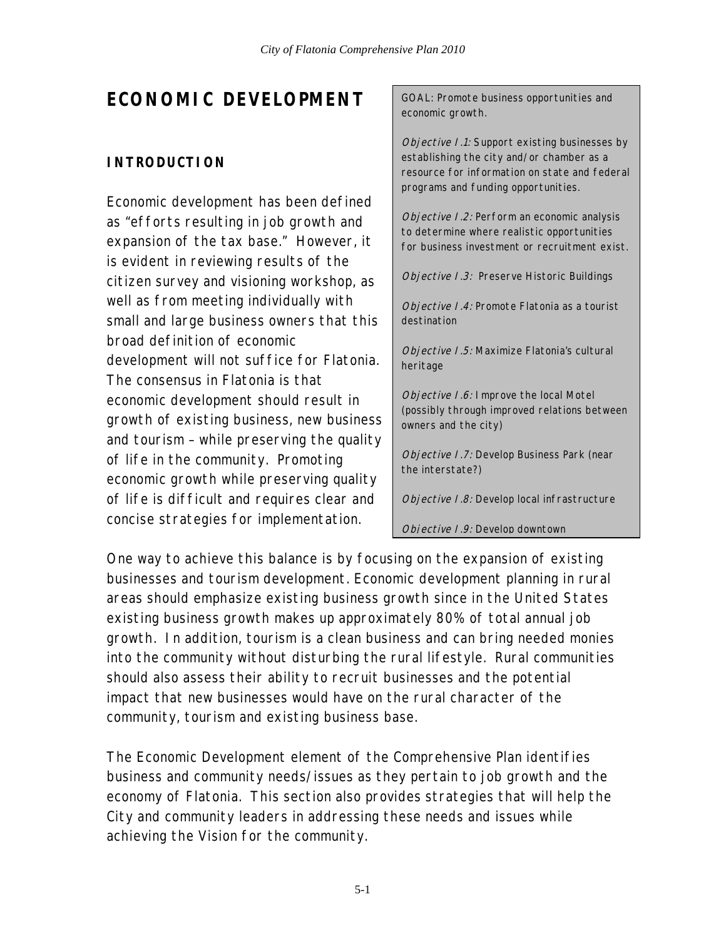# **ECONOMIC DEVELOPMENT**

# **INTRODUCTION**

Economic development has been defined as "efforts resulting in job growth and expansion of the tax base." However, it is evident in reviewing results of the citizen survey and visioning workshop, as well as from meeting individually with small and large business owners that this broad definition of economic development will not suffice for Flatonia. The consensus in Flatonia is that economic development should result in growth of existing business, new business and tourism – while preserving the quality of life in the community. Promoting economic growth while preserving quality of life is difficult and requires clear and concise strategies for implementation.

GOAL: Promote business opportunities and economic growth.

Objective I.1: Support existing businesses by establishing the city and/or chamber as a resource for information on state and federal programs and funding opportunities.

Objective I.2: Perform an economic analysis to determine where realistic opportunities for business investment or recruitment exist.

Objective I.3: Preserve Historic Buildings

Objective I.4: Promote Flatonia as a tourist destination

Objective I.5: Maximize Flatonia's cultural heritage

Objective I.6: Improve the local Motel (possibly through improved relations between owners and the city)

Objective I.7: Develop Business Park (near the interstate?)

Objective I.8: Develop local infrastructure

Objective I.9: Develop downtown

One way to achieve this balance is by focusing on the expansion of existing businesses and tourism development. Economic development planning in rural areas should emphasize existing business growth since in the United States existing business growth makes up approximately 80% of total annual job growth. In addition, tourism is a clean business and can bring needed monies into the community without disturbing the rural lifestyle. Rural communities should also assess their ability to recruit businesses and the potential impact that new businesses would have on the rural character of the community, tourism and existing business base.

The Economic Development element of the Comprehensive Plan identifies business and community needs/issues as they pertain to job growth and the economy of Flatonia. This section also provides strategies that will help the City and community leaders in addressing these needs and issues while achieving the Vision for the community.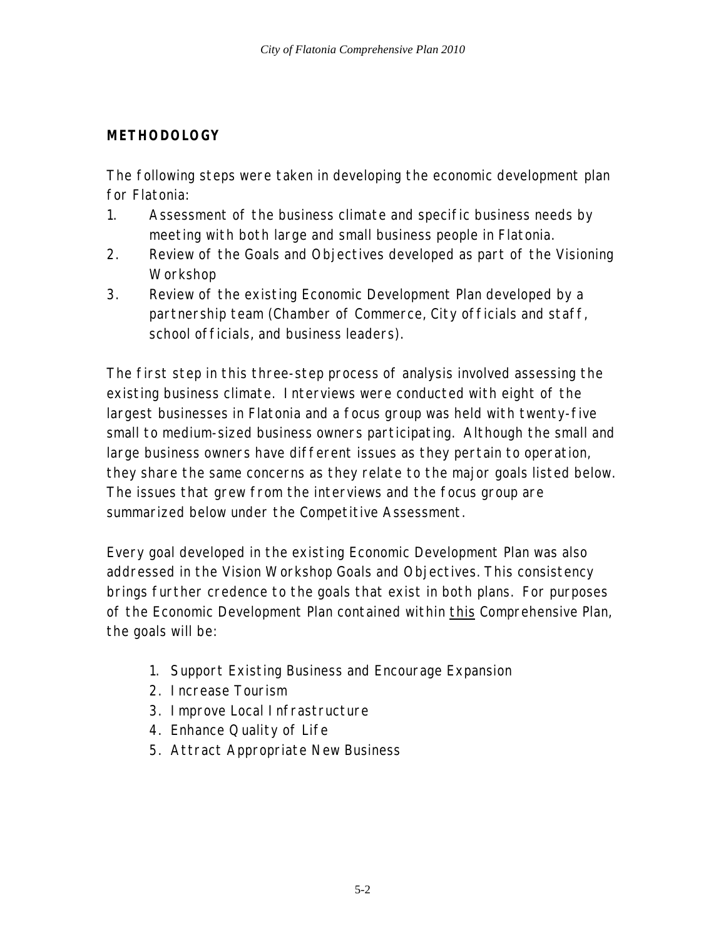### **METHODOLOGY**

The following steps were taken in developing the economic development plan for Flatonia:

- 1. Assessment of the business climate and specific business needs by meeting with both large and small business people in Flatonia.
- 2. Review of the Goals and Objectives developed as part of the Visioning Workshop
- 3. Review of the existing Economic Development Plan developed by a partnership team (Chamber of Commerce, City officials and staff, school officials, and business leaders).

The first step in this three-step process of analysis involved assessing the existing business climate. Interviews were conducted with eight of the largest businesses in Flatonia and a focus group was held with twenty-five small to medium-sized business owners participating. Although the small and large business owners have different issues as they pertain to operation, they share the same concerns as they relate to the major goals listed below. The issues that grew from the interviews and the focus group are summarized below under the Competitive Assessment.

Every goal developed in the existing Economic Development Plan was also addressed in the Vision Workshop Goals and Objectives. This consistency brings further credence to the goals that exist in both plans. For purposes of the Economic Development Plan contained within this Comprehensive Plan, the goals will be:

- 1. Support Existing Business and Encourage Expansion
- 2. Increase Tourism
- 3. Improve Local Infrastructure
- 4. Enhance Quality of Life
- 5. Attract Appropriate New Business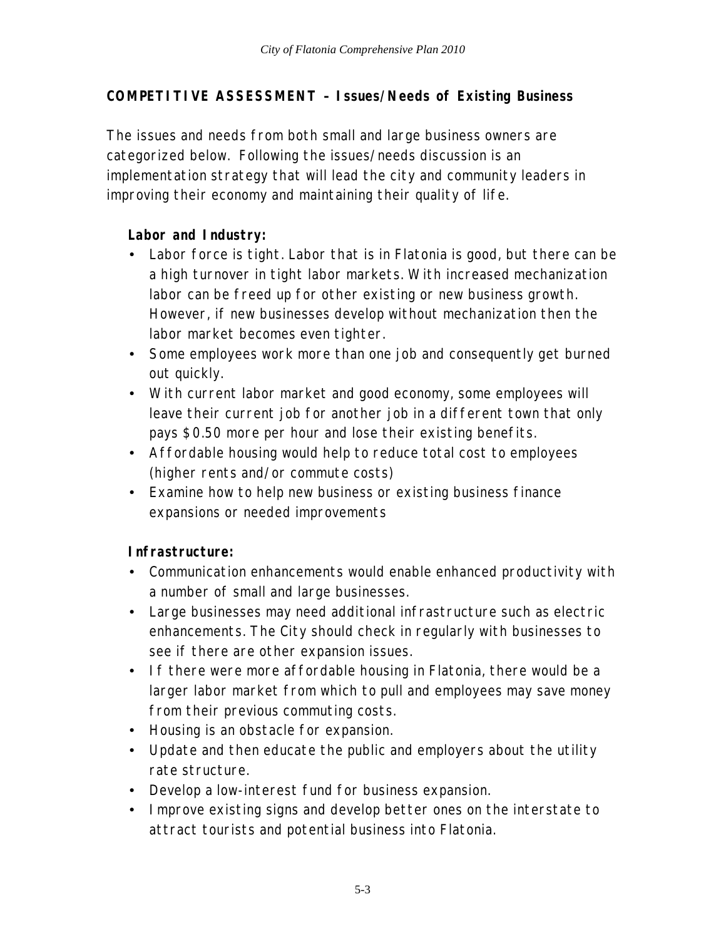# **COMPETITIVE ASSESSMENT – Issues/Needs of Existing Business**

The issues and needs from both small and large business owners are categorized below. Following the issues/needs discussion is an implementation strategy that will lead the city and community leaders in improving their economy and maintaining their quality of life.

# **Labor and Industry:**

- Labor force is tight. Labor that is in Flatonia is good, but there can be a high turnover in tight labor markets. With increased mechanization labor can be freed up for other existing or new business growth. However, if new businesses develop without mechanization then the labor market becomes even tighter.
- Some employees work more than one job and consequently get burned out quickly.
- With current labor market and good economy, some employees will leave their current job for another job in a different town that only pays \$0.50 more per hour and lose their existing benefits.
- Affordable housing would help to reduce total cost to employees (higher rents and/or commute costs)
- Examine how to help new business or existing business finance expansions or needed improvements

# **Infrastructure:**

- Communication enhancements would enable enhanced productivity with a number of small and large businesses.
- Large businesses may need additional infrastructure such as electric enhancements. The City should check in regularly with businesses to see if there are other expansion issues.
- If there were more affordable housing in Flatonia, there would be a larger labor market from which to pull and employees may save money from their previous commuting costs.
- Housing is an obstacle for expansion.
- Update and then educate the public and employers about the utility rate structure.
- Develop a low-interest fund for business expansion.
- Improve existing signs and develop better ones on the interstate to attract tourists and potential business into Flatonia.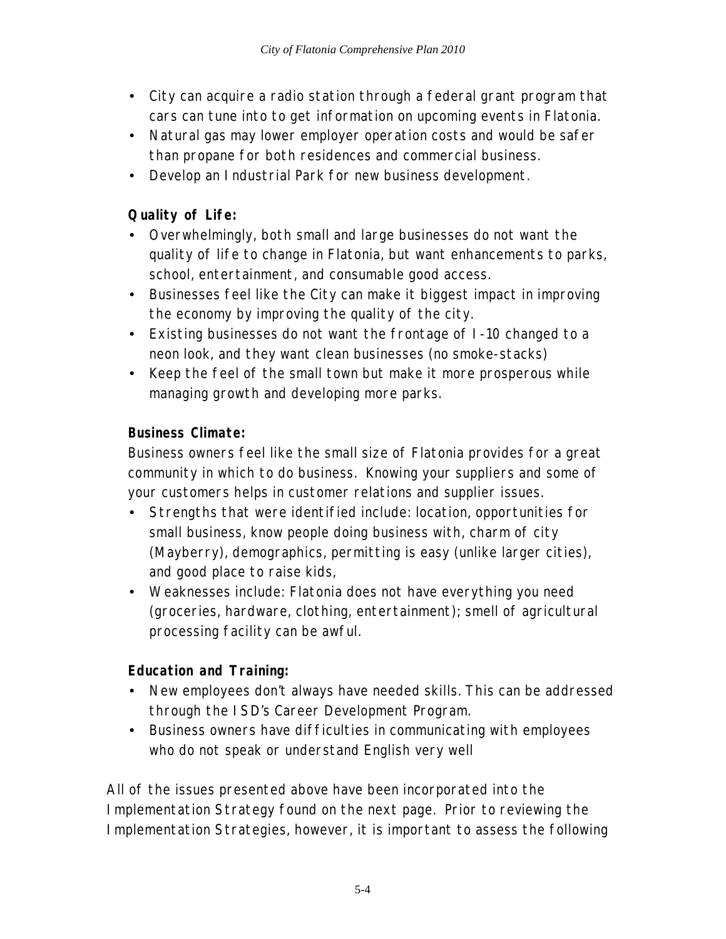- City can acquire a radio station through a federal grant program that cars can tune into to get information on upcoming events in Flatonia.
- Natural gas may lower employer operation costs and would be safer than propane for both residences and commercial business.
- Develop an Industrial Park for new business development.

# **Quality of Life:**

- Overwhelmingly, both small and large businesses do not want the quality of life to change in Flatonia, but want enhancements to parks, school, entertainment, and consumable good access.
- Businesses feel like the City can make it biggest impact in improving the economy by improving the quality of the city.
- Existing businesses do not want the frontage of I-10 changed to a neon look, and they want clean businesses (no smoke-stacks)
- Keep the feel of the small town but make it more prosperous while managing growth and developing more parks.

# **Business Climate:**

Business owners feel like the small size of Flatonia provides for a great community in which to do business. Knowing your suppliers and some of your customers helps in customer relations and supplier issues.

- Strengths that were identified include: location, opportunities for small business, know people doing business with, charm of city (Mayberry), demographics, permitting is easy (unlike larger cities), and good place to raise kids,
- Weaknesses include: Flatonia does not have everything you need (groceries, hardware, clothing, entertainment); smell of agricultural processing facility can be awful.

# **Education and Training:**

- New employees don't always have needed skills. This can be addressed through the ISD's Career Development Program.
- Business owners have difficulties in communicating with employees who do not speak or understand English very well

All of the issues presented above have been incorporated into the Implementation Strategy found on the next page. Prior to reviewing the Implementation Strategies, however, it is important to assess the following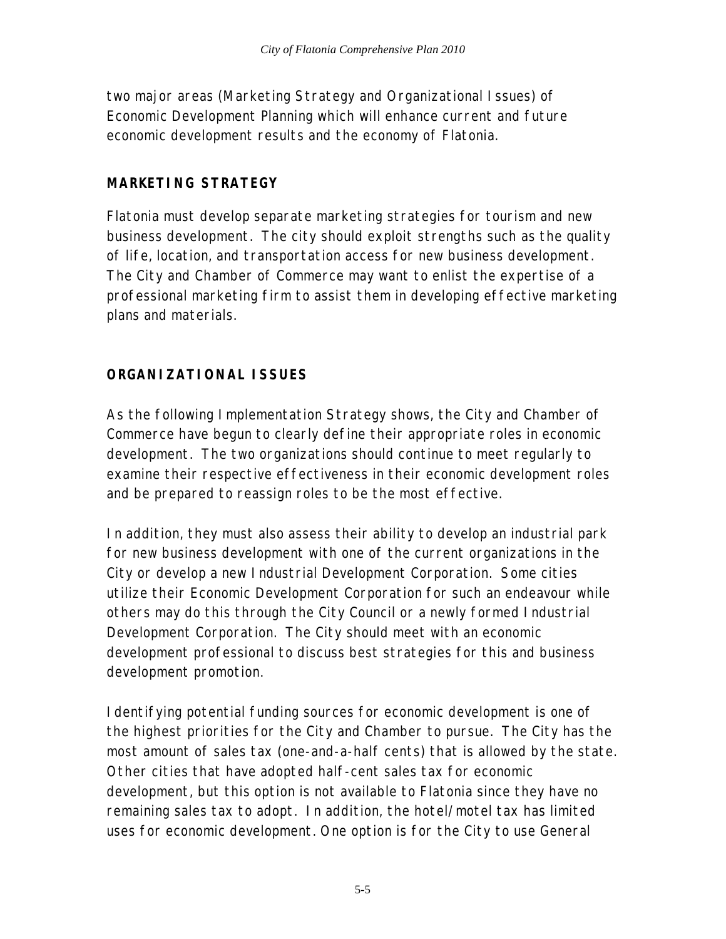two major areas (Marketing Strategy and Organizational Issues) of Economic Development Planning which will enhance current and future economic development results and the economy of Flatonia.

### **MARKETING STRATEGY**

Flatonia must develop separate marketing strategies for tourism and new business development. The city should exploit strengths such as the quality of life, location, and transportation access for new business development. The City and Chamber of Commerce may want to enlist the expertise of a professional marketing firm to assist them in developing effective marketing plans and materials.

# **ORGANIZATIONAL ISSUES**

As the following Implementation Strategy shows, the City and Chamber of Commerce have begun to clearly define their appropriate roles in economic development. The two organizations should continue to meet regularly to examine their respective effectiveness in their economic development roles and be prepared to reassign roles to be the most effective.

In addition, they must also assess their ability to develop an industrial park for new business development with one of the current organizations in the City or develop a new Industrial Development Corporation. Some cities utilize their Economic Development Corporation for such an endeavour while others may do this through the City Council or a newly formed Industrial Development Corporation. The City should meet with an economic development professional to discuss best strategies for this and business development promotion.

Identifying potential funding sources for economic development is one of the highest priorities for the City and Chamber to pursue. The City has the most amount of sales tax (one-and-a-half cents) that is allowed by the state. Other cities that have adopted half-cent sales tax for economic development, but this option is not available to Flatonia since they have no remaining sales tax to adopt. In addition, the hotel/motel tax has limited uses for economic development. One option is for the City to use General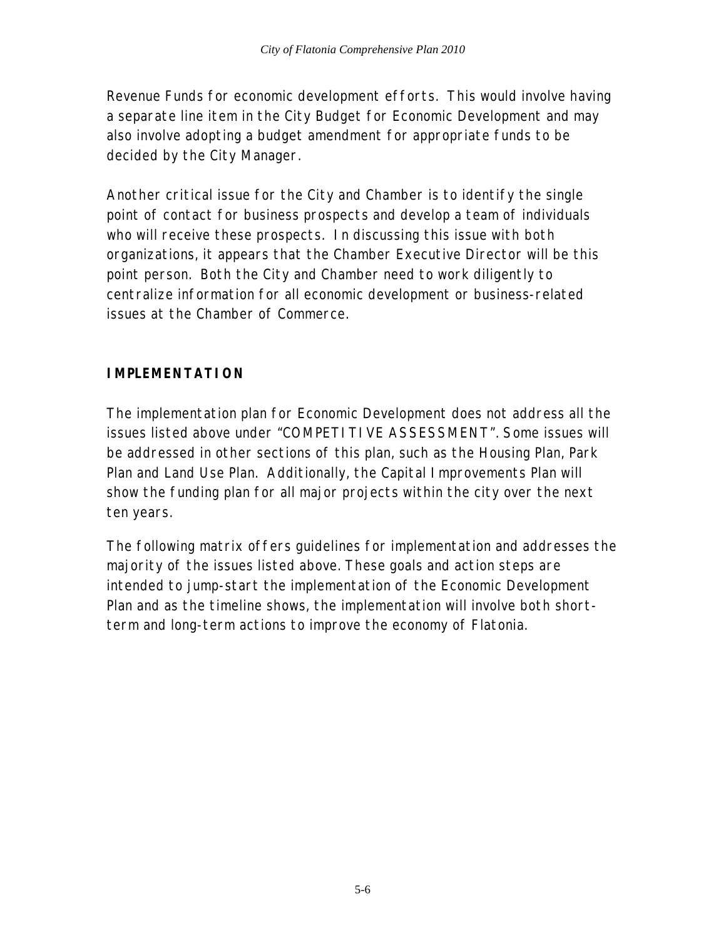Revenue Funds for economic development efforts. This would involve having a separate line item in the City Budget for Economic Development and may also involve adopting a budget amendment for appropriate funds to be decided by the City Manager.

Another critical issue for the City and Chamber is to identify the single point of contact for business prospects and develop a team of individuals who will receive these prospects. In discussing this issue with both organizations, it appears that the Chamber Executive Director will be this point person. Both the City and Chamber need to work diligently to centralize information for all economic development or business-related issues at the Chamber of Commerce.

### **IMPLEMENTATION**

The implementation plan for Economic Development does not address all the issues listed above under "COMPETITIVE ASSESSMENT". Some issues will be addressed in other sections of this plan, such as the Housing Plan, Park Plan and Land Use Plan. Additionally, the Capital Improvements Plan will show the funding plan for all major projects within the city over the next ten years.

The following matrix offers guidelines for implementation and addresses the majority of the issues listed above. These goals and action steps are intended to jump-start the implementation of the Economic Development Plan and as the timeline shows, the implementation will involve both shortterm and long-term actions to improve the economy of Flatonia.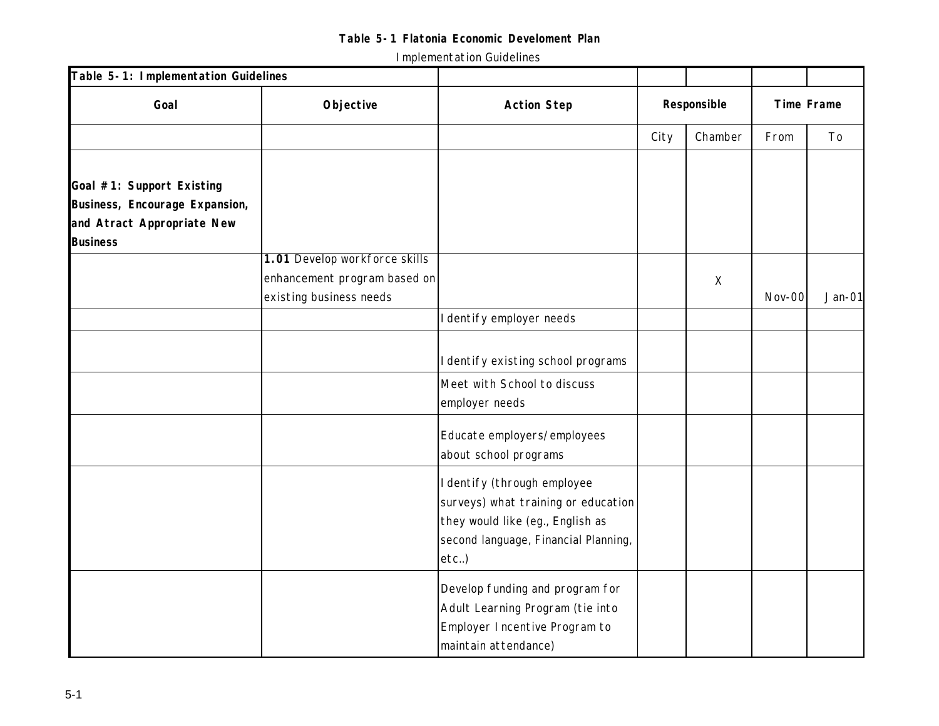| Table 5-1: Implementation Guidelines |                               |                                      |      |             |            |          |  |
|--------------------------------------|-------------------------------|--------------------------------------|------|-------------|------------|----------|--|
| Goal                                 | Objective                     | <b>Action Step</b>                   |      | Responsible | Time Frame |          |  |
|                                      |                               |                                      | City | Chamber     | From       | To       |  |
|                                      |                               |                                      |      |             |            |          |  |
| Goal #1: Support Existing            |                               |                                      |      |             |            |          |  |
| Business, Encourage Expansion,       |                               |                                      |      |             |            |          |  |
| and Atract Appropriate New           |                               |                                      |      |             |            |          |  |
| <b>Business</b>                      |                               |                                      |      |             |            |          |  |
|                                      | 1.01 Develop workforce skills |                                      |      |             |            |          |  |
|                                      | enhancement program based on  |                                      |      | $\mathsf X$ |            |          |  |
|                                      | existing business needs       |                                      |      |             | Nov-00     | $Jan-01$ |  |
|                                      |                               | I dentify employer needs             |      |             |            |          |  |
|                                      |                               |                                      |      |             |            |          |  |
|                                      |                               | I dentify existing school programs   |      |             |            |          |  |
|                                      |                               | Meet with School to discuss          |      |             |            |          |  |
|                                      |                               | employer needs                       |      |             |            |          |  |
|                                      |                               | Educate employers/employees          |      |             |            |          |  |
|                                      |                               | about school programs                |      |             |            |          |  |
|                                      |                               | I dentify (through employee          |      |             |            |          |  |
|                                      |                               | surveys) what training or education  |      |             |            |          |  |
|                                      |                               | they would like (eg., English as     |      |             |            |          |  |
|                                      |                               | second language, Financial Planning, |      |             |            |          |  |
|                                      |                               | $etc.$ )                             |      |             |            |          |  |
|                                      |                               | Develop funding and program for      |      |             |            |          |  |
|                                      |                               | Adult Learning Program (tie into     |      |             |            |          |  |
|                                      |                               | Employer Incentive Program to        |      |             |            |          |  |
|                                      |                               | maintain attendance)                 |      |             |            |          |  |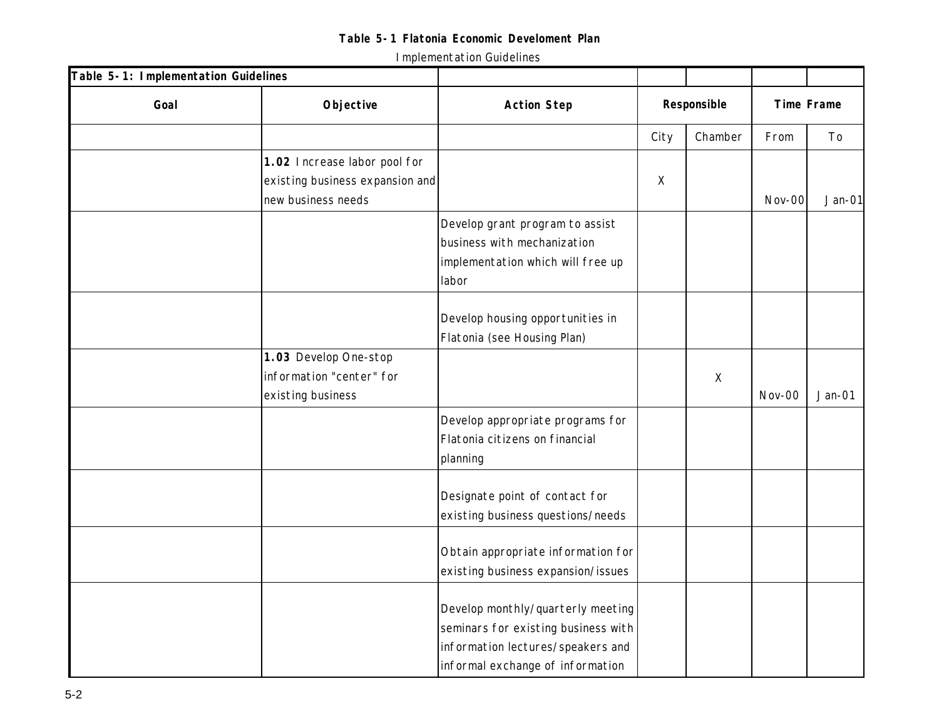| Table 5-1: Implementation Guidelines |                                 |                                     |             |          |        |            |  |
|--------------------------------------|---------------------------------|-------------------------------------|-------------|----------|--------|------------|--|
| Goal                                 | Objective                       | <b>Action Step</b>                  | Responsible |          |        | Time Frame |  |
|                                      |                                 |                                     | City        | Chamber  | From   | To         |  |
|                                      | 1.02 Increase labor pool for    |                                     |             |          |        |            |  |
|                                      | existing business expansion and |                                     | $\times$    |          |        |            |  |
|                                      | new business needs              |                                     |             |          | Nov-00 | $Jan-01$   |  |
|                                      |                                 | Develop grant program to assist     |             |          |        |            |  |
|                                      |                                 | business with mechanization         |             |          |        |            |  |
|                                      |                                 | implementation which will free up   |             |          |        |            |  |
|                                      |                                 | labor                               |             |          |        |            |  |
|                                      |                                 |                                     |             |          |        |            |  |
|                                      |                                 | Develop housing opportunities in    |             |          |        |            |  |
|                                      |                                 | Flatonia (see Housing Plan)         |             |          |        |            |  |
|                                      | 1.03 Develop One-stop           |                                     |             |          |        |            |  |
|                                      | information "center" for        |                                     |             | $\times$ |        |            |  |
|                                      | existing business               |                                     |             |          | Nov-00 | $Jan-01$   |  |
|                                      |                                 | Develop appropriate programs for    |             |          |        |            |  |
|                                      |                                 | Flatonia citizens on financial      |             |          |        |            |  |
|                                      |                                 | planning                            |             |          |        |            |  |
|                                      |                                 |                                     |             |          |        |            |  |
|                                      |                                 | Designate point of contact for      |             |          |        |            |  |
|                                      |                                 | existing business questions/needs   |             |          |        |            |  |
|                                      |                                 | Obtain appropriate information for  |             |          |        |            |  |
|                                      |                                 | existing business expansion/issues  |             |          |        |            |  |
|                                      |                                 |                                     |             |          |        |            |  |
|                                      |                                 | Develop monthly/quarterly meeting   |             |          |        |            |  |
|                                      |                                 | seminars for existing business with |             |          |        |            |  |
|                                      |                                 | information lectures/speakers and   |             |          |        |            |  |
|                                      |                                 | informal exchange of information    |             |          |        |            |  |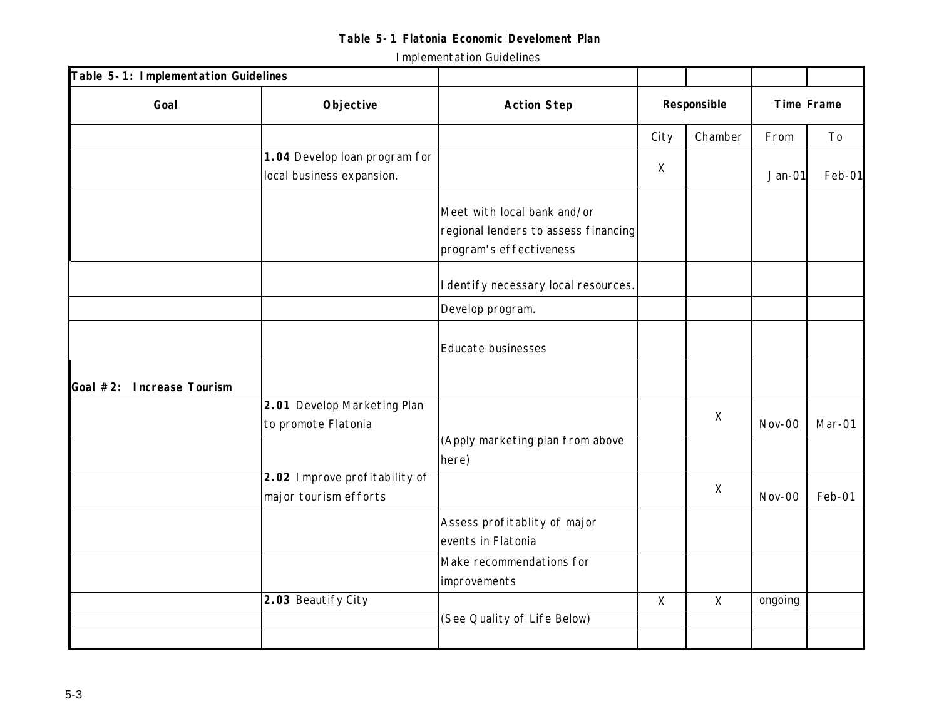| Table 5-1: Implementation Guidelines |                                                            |                                                                                                |             |              |            |        |
|--------------------------------------|------------------------------------------------------------|------------------------------------------------------------------------------------------------|-------------|--------------|------------|--------|
| Goal                                 | Objective                                                  | <b>Action Step</b>                                                                             | Responsible |              | Time Frame |        |
|                                      |                                                            |                                                                                                | City        | Chamber      | From       | To     |
|                                      | 1.04 Develop loan program for<br>local business expansion. |                                                                                                | $\chi$      |              | $Jan-01$   | Feb-01 |
|                                      |                                                            | Meet with local bank and/or<br>regional lenders to assess financing<br>program's effectiveness |             |              |            |        |
|                                      |                                                            | I dentify necessary local resources.                                                           |             |              |            |        |
|                                      |                                                            | Develop program.                                                                               |             |              |            |        |
|                                      |                                                            | Educate businesses                                                                             |             |              |            |        |
| Goal #2: Increase Tourism            |                                                            |                                                                                                |             |              |            |        |
|                                      | 2.01 Develop Marketing Plan<br>to promote Flatonia         |                                                                                                |             | $\mathsf{X}$ | Nov-00     | Mar-01 |
|                                      |                                                            | (Apply marketing plan from above<br>here)                                                      |             |              |            |        |
|                                      | 2.02 Improve profitability of<br>major tourism efforts     |                                                                                                |             | $\times$     | Nov-00     | Feb-01 |
|                                      |                                                            | Assess profitablity of major<br>events in Flatonia                                             |             |              |            |        |
|                                      |                                                            | Make recommendations for<br>improvements                                                       |             |              |            |        |
|                                      | 2.03 Beautify City                                         |                                                                                                | $\mathsf X$ | $\mathsf{X}$ | ongoing    |        |
|                                      |                                                            | (See Quality of Life Below)                                                                    |             |              |            |        |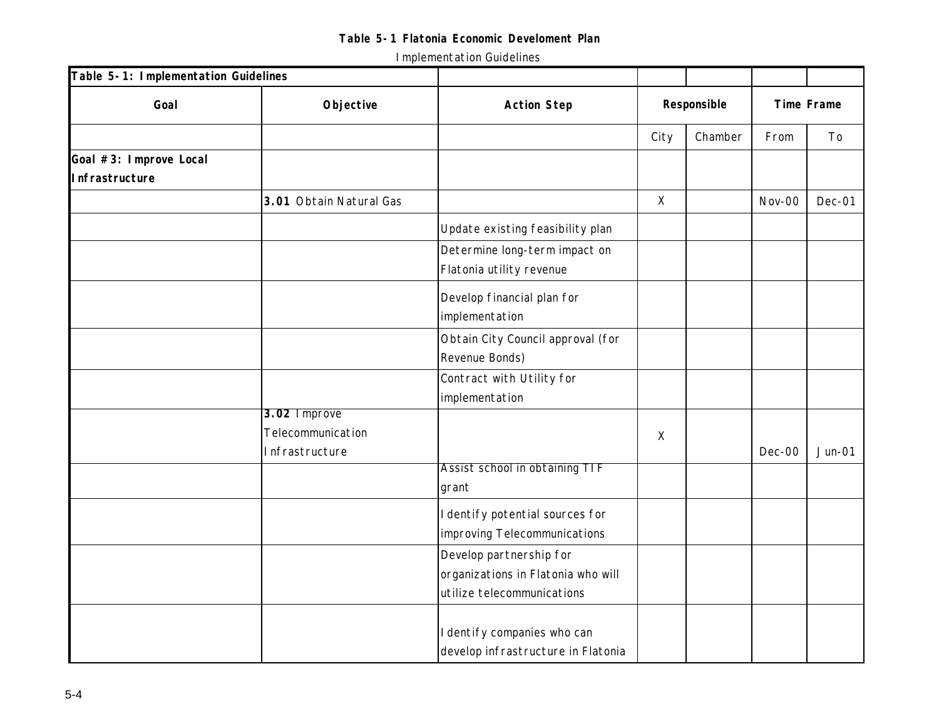| Table 5-1: Implementation Guidelines |                         |                                    |          |             |        |                |
|--------------------------------------|-------------------------|------------------------------------|----------|-------------|--------|----------------|
| Goal                                 | Objective               | <b>Action Step</b>                 |          | Responsible |        | Time Frame     |
|                                      |                         |                                    | City     | Chamber     | From   | T <sub>o</sub> |
| Goal #3: Improve Local               |                         |                                    |          |             |        |                |
| Infrastructure                       |                         |                                    |          |             |        |                |
|                                      | 3.01 Obtain Natural Gas |                                    | $\sf X$  |             | Nov-00 | Dec-01         |
|                                      |                         | Update existing feasibility plan   |          |             |        |                |
|                                      |                         | Determine long-term impact on      |          |             |        |                |
|                                      |                         | Flatonia utility revenue           |          |             |        |                |
|                                      |                         | Develop financial plan for         |          |             |        |                |
|                                      |                         | implementation                     |          |             |        |                |
|                                      |                         | Obtain City Council approval (for  |          |             |        |                |
|                                      |                         | Revenue Bonds)                     |          |             |        |                |
|                                      |                         | Contract with Utility for          |          |             |        |                |
|                                      |                         | implementation                     |          |             |        |                |
|                                      | 3.02 Improve            |                                    |          |             |        |                |
|                                      | Telecommunication       |                                    | $\times$ |             |        |                |
|                                      | Infrastructure          | Assist school in obtaining TIF     |          |             | Dec-00 | $Jun-01$       |
|                                      |                         | grant                              |          |             |        |                |
|                                      |                         | I dentify potential sources for    |          |             |        |                |
|                                      |                         | improving Telecommunications       |          |             |        |                |
|                                      |                         | Develop partnership for            |          |             |        |                |
|                                      |                         | organizations in Flatonia who will |          |             |        |                |
|                                      |                         | utilize telecommunications         |          |             |        |                |
|                                      |                         |                                    |          |             |        |                |
|                                      |                         | I dentify companies who can        |          |             |        |                |
|                                      |                         | develop infrastructure in Flatonia |          |             |        |                |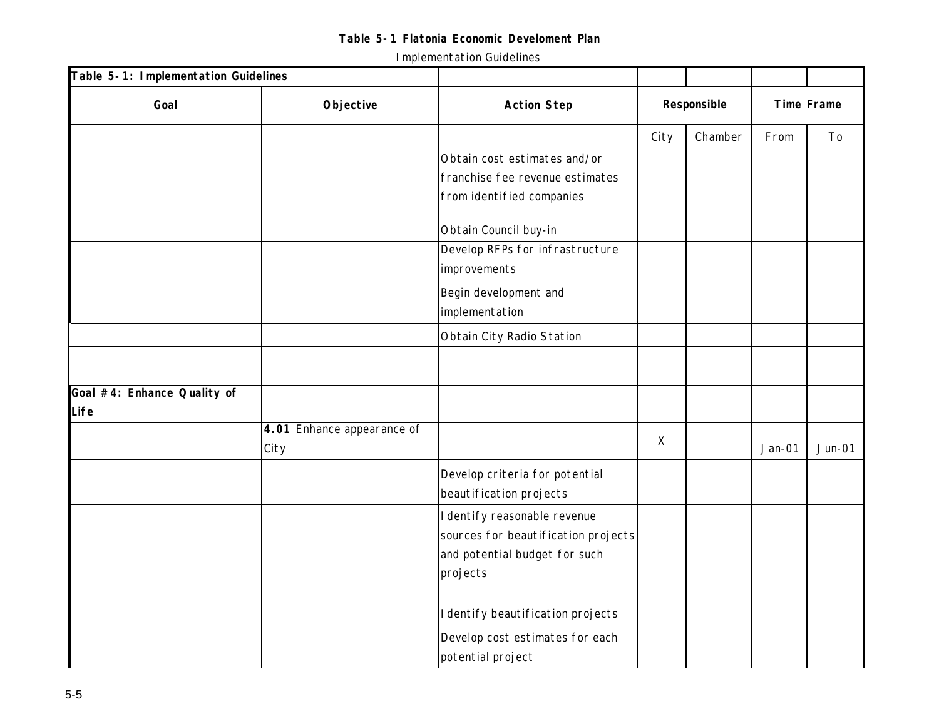| Table 5-1: Implementation Guidelines |                                    |                                                                                                                  |             |         |          |            |  |
|--------------------------------------|------------------------------------|------------------------------------------------------------------------------------------------------------------|-------------|---------|----------|------------|--|
| Goal                                 | Objective                          | <b>Action Step</b>                                                                                               | Responsible |         |          | Time Frame |  |
|                                      |                                    |                                                                                                                  | City        | Chamber | From     | To         |  |
|                                      |                                    | Obtain cost estimates and/or<br>franchise fee revenue estimates<br>from identified companies                     |             |         |          |            |  |
|                                      |                                    | Obtain Council buy-in<br>Develop RFPs for infrastructure<br>improvements                                         |             |         |          |            |  |
|                                      |                                    | Begin development and<br>implementation                                                                          |             |         |          |            |  |
|                                      |                                    | Obtain City Radio Station                                                                                        |             |         |          |            |  |
|                                      |                                    |                                                                                                                  |             |         |          |            |  |
| Goal #4: Enhance Quality of<br>Life  |                                    |                                                                                                                  |             |         |          |            |  |
|                                      | 4.01 Enhance appearance of<br>City |                                                                                                                  | $\times$    |         | $Jan-01$ | $Jun-01$   |  |
|                                      |                                    | Develop criteria for potential<br>beautification projects                                                        |             |         |          |            |  |
|                                      |                                    | I dentify reasonable revenue<br>sources for beautification projects<br>and potential budget for such<br>projects |             |         |          |            |  |
|                                      |                                    | I dentify beautification projects                                                                                |             |         |          |            |  |
|                                      |                                    | Develop cost estimates for each<br>potential project                                                             |             |         |          |            |  |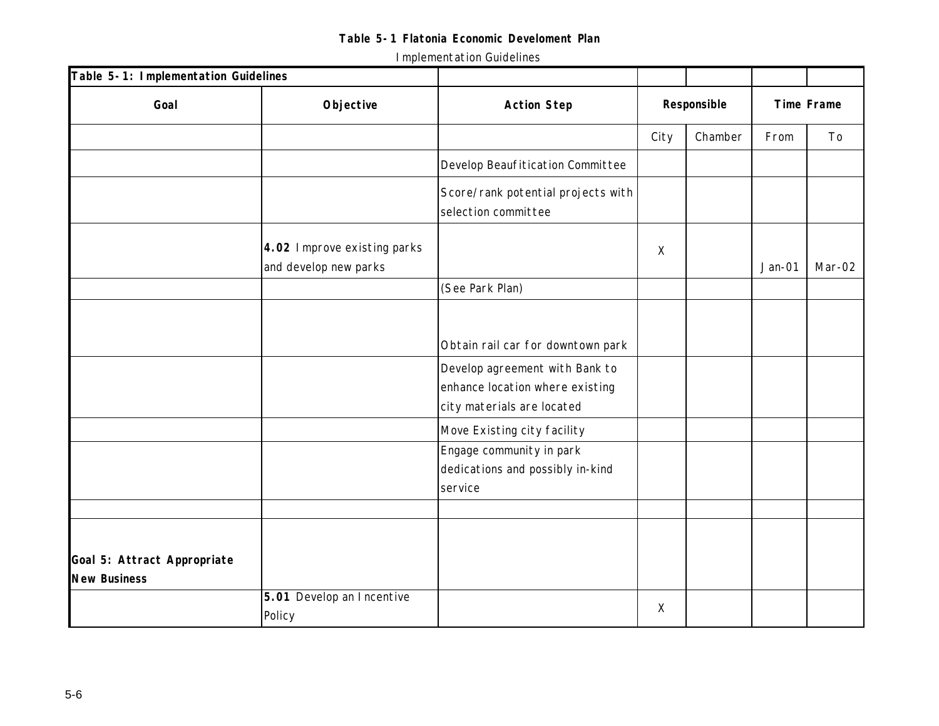| Table 5-1: Implementation Guidelines               |                                                      |                                                                                                 |             |         |            |        |
|----------------------------------------------------|------------------------------------------------------|-------------------------------------------------------------------------------------------------|-------------|---------|------------|--------|
| Goal                                               | Objective                                            | <b>Action Step</b>                                                                              | Responsible |         | Time Frame |        |
|                                                    |                                                      |                                                                                                 | City        | Chamber | From       | To     |
|                                                    |                                                      | Develop Beaufitication Committee                                                                |             |         |            |        |
|                                                    |                                                      | Score/rank potential projects with<br>selection committee                                       |             |         |            |        |
|                                                    | 4.02 Improve existing parks<br>and develop new parks |                                                                                                 | $\mathsf X$ |         | $Jan-01$   | Mar-02 |
|                                                    |                                                      | (See Park Plan)                                                                                 |             |         |            |        |
|                                                    |                                                      | Obtain rail car for downtown park                                                               |             |         |            |        |
|                                                    |                                                      | Develop agreement with Bank to<br>enhance location where existing<br>city materials are located |             |         |            |        |
|                                                    |                                                      | Move Existing city facility                                                                     |             |         |            |        |
|                                                    |                                                      | Engage community in park<br>dedications and possibly in-kind<br>service                         |             |         |            |        |
|                                                    |                                                      |                                                                                                 |             |         |            |        |
|                                                    |                                                      |                                                                                                 |             |         |            |        |
| Goal 5: Attract Appropriate<br><b>New Business</b> |                                                      |                                                                                                 |             |         |            |        |
|                                                    | 5.01 Develop an Incentive<br>Policy                  |                                                                                                 | X           |         |            |        |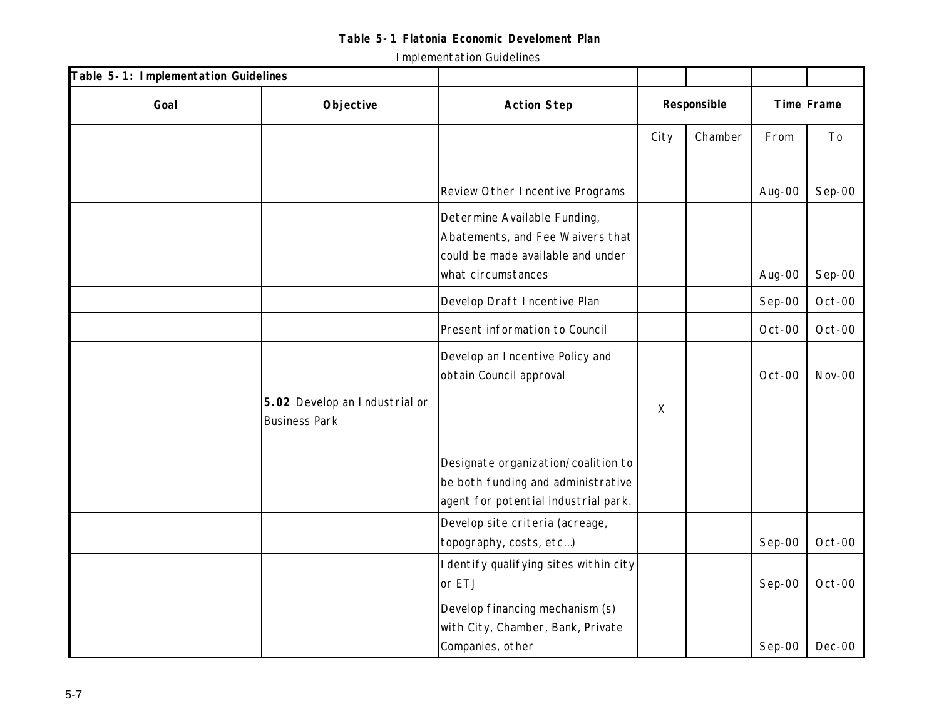| Table 5-1: Implementation Guidelines |                                                       |                                                                                                                             |             |         |        |            |
|--------------------------------------|-------------------------------------------------------|-----------------------------------------------------------------------------------------------------------------------------|-------------|---------|--------|------------|
| Goal                                 | Objective                                             | <b>Action Step</b>                                                                                                          | Responsible |         |        | Time Frame |
|                                      |                                                       |                                                                                                                             | City        | Chamber | From   | To         |
|                                      |                                                       |                                                                                                                             |             |         |        |            |
|                                      |                                                       | Review Other Incentive Programs                                                                                             |             |         | Aug-00 | Sep-00     |
|                                      |                                                       | Determine Available Funding,<br>Abatements, and Fee Waivers that<br>could be made available and under<br>what circumstances |             |         | Aug-00 | Sep-00     |
|                                      |                                                       | Develop Draft Incentive Plan                                                                                                |             |         | Sep-00 | Oct-00     |
|                                      |                                                       | Present information to Council                                                                                              |             |         | Oct-00 | Oct-00     |
|                                      |                                                       | Develop an Incentive Policy and<br>obtain Council approval                                                                  |             |         | Oct-00 | Nov-00     |
|                                      | 5.02 Develop an Industrial or<br><b>Business Park</b> |                                                                                                                             | $\times$    |         |        |            |
|                                      |                                                       | Designate organization/coalition to<br>be both funding and administrative<br>agent for potential industrial park.           |             |         |        |            |
|                                      |                                                       | Develop site criteria (acreage,<br>topography, costs, etc)                                                                  |             |         | Sep-00 | Oct-00     |
|                                      |                                                       | I dentify qualifying sites within city<br>or ETJ                                                                            |             |         | Sep-00 | Oct-00     |
|                                      |                                                       | Develop financing mechanism (s)<br>with City, Chamber, Bank, Private<br>Companies, other                                    |             |         | Sep-00 | $Dec-00$   |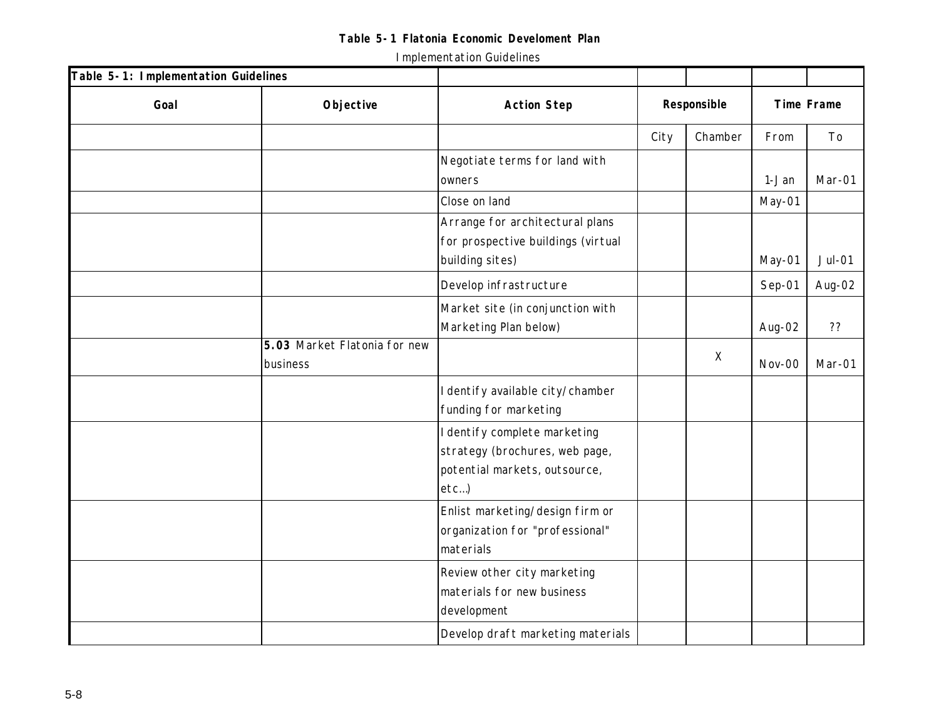| Table 5-1: Implementation Guidelines |                                          |                                                                                                         |             |          |                   |          |
|--------------------------------------|------------------------------------------|---------------------------------------------------------------------------------------------------------|-------------|----------|-------------------|----------|
| Goal                                 | Objective                                | <b>Action Step</b>                                                                                      | Responsible |          | <b>Time Frame</b> |          |
|                                      |                                          |                                                                                                         | City        | Chamber  | From              | To       |
|                                      |                                          | Negotiate terms for land with<br>owners                                                                 |             |          | 1-Jan             | Mar-01   |
|                                      |                                          | Close on land                                                                                           |             |          | May-01            |          |
|                                      |                                          | Arrange for architectural plans<br>for prospective buildings (virtual<br>building sites)                |             |          | May-01            | $Jul-01$ |
|                                      |                                          | Develop infrastructure                                                                                  |             |          | Sep-01            | Aug-02   |
|                                      |                                          | Market site (in conjunction with<br>Marketing Plan below)                                               |             |          | Aug-02            | ??       |
|                                      | 5.03 Market Flatonia for new<br>business |                                                                                                         |             | $\times$ | Nov-00            | Mar-01   |
|                                      |                                          | I dentify available city/chamber<br>funding for marketing                                               |             |          |                   |          |
|                                      |                                          | I dentify complete marketing<br>strategy (brochures, web page,<br>potential markets, outsource,<br>etc) |             |          |                   |          |
|                                      |                                          | Enlist marketing/design firm or<br>organization for "professional"<br>materials                         |             |          |                   |          |
|                                      |                                          | Review other city marketing<br>materials for new business<br>development                                |             |          |                   |          |
|                                      |                                          | Develop draft marketing materials                                                                       |             |          |                   |          |